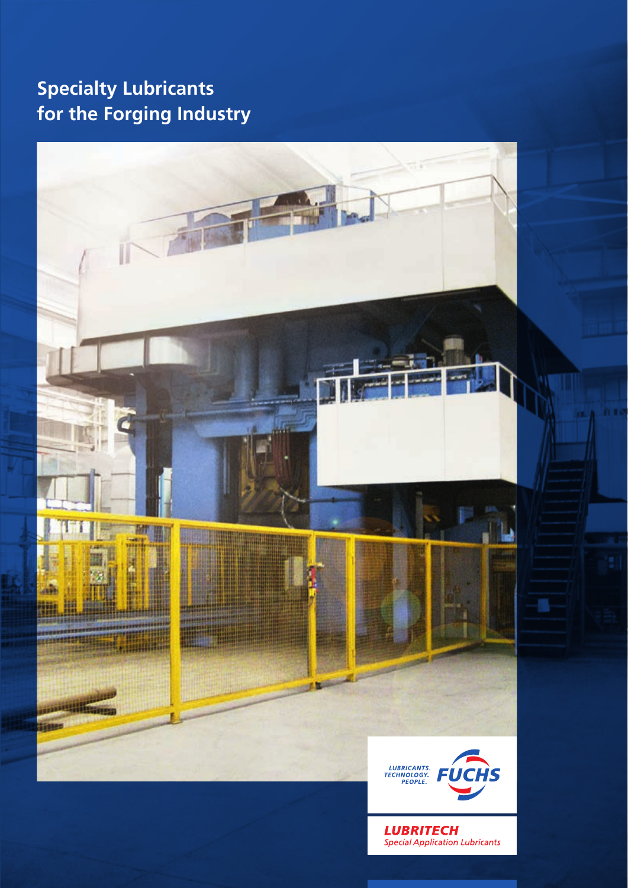# **Specialty Lubricants for the Forging Industry**

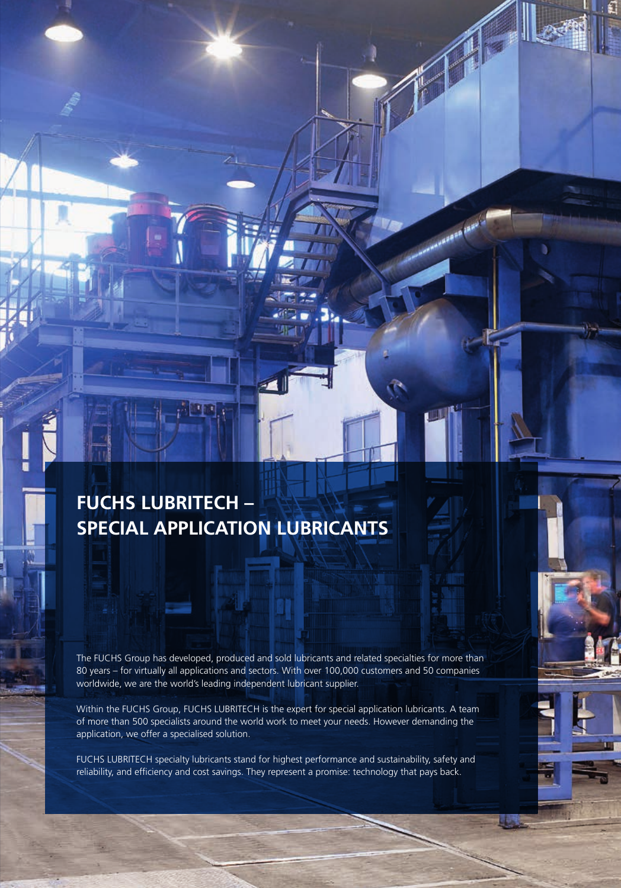## **FUCHS LUBRITECH – SPECIAL APPLICATION LUBRICANTS**

The FUCHS Group has developed, produced and sold lubricants and related specialties for more than 80 years – for virtually all applications and sectors. With over 100,000 customers and 50 companies worldwide, we are the world's leading independent lubricant supplier.

Within the FUCHS Group, FUCHS LUBRITECH is the expert for special application lubricants. A team of more than 500 specialists around the world work to meet your needs. However demanding the application, we offer a specialised solution.

FUCHS LUBRITECH specialty lubricants stand for highest performance and sustainability, safety and reliability, and efficiency and cost savings. They represent a promise: technology that pays back.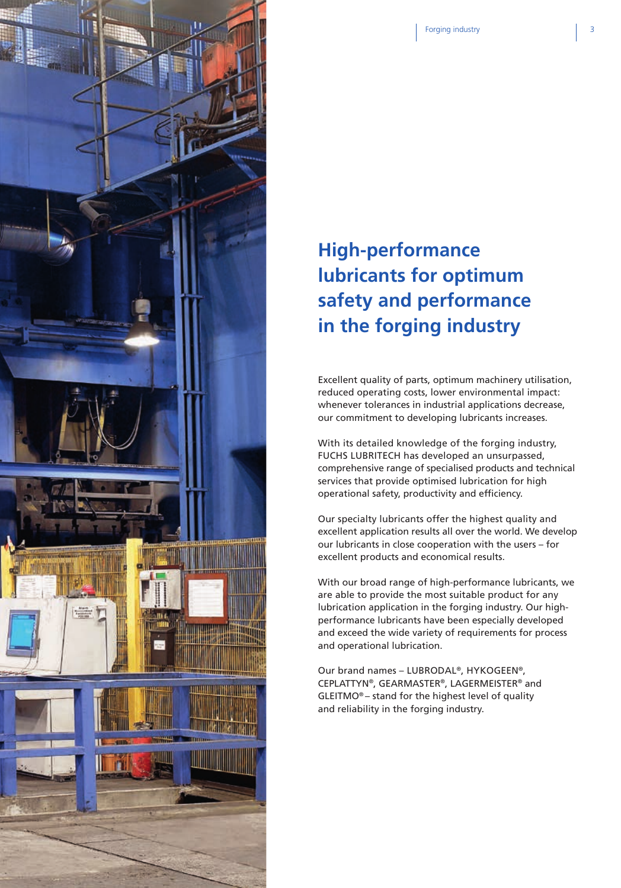Forging industry



## **High-performance lubricants for optimum safety and performance in the forging industry**

Excellent quality of parts, optimum machinery utilisation, reduced operating costs, lower environmental impact: whenever tolerances in industrial applications decrease, our commitment to developing lubricants increases.

With its detailed knowledge of the forging industry, FUCHS LUBRITECH has developed an unsurpassed, comprehensive range of specialised products and technical services that provide optimised lubrication for high operational safety, productivity and efficiency.

Our specialty lubricants offer the highest quality and excellent application results all over the world. We develop our lubricants in close cooperation with the users – for excellent products and economical results.

With our broad range of high-performance lubricants, we are able to provide the most suitable product for any lubrication application in the forging industry. Our highperformance lubricants have been especially developed and exceed the wide variety of requirements for process and operational lubrication.

Our brand names – LUBRODAL®, HYKOGEEN®, CEPLATTYN®, GEARMASTER®, LAGERMEISTER® and GLEITMO® – stand for the highest level of quality and reliability in the forging industry.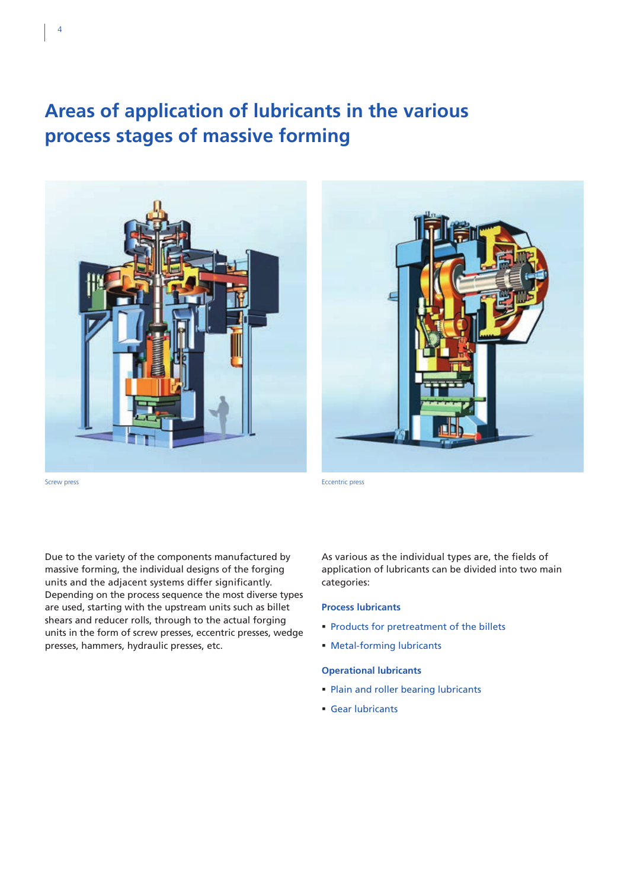## **Areas of application of lubricants in the various process stages of massive forming**





Due to the variety of the components manufactured by massive forming, the individual designs of the forging units and the adjacent systems differ significantly. Depending on the process sequence the most diverse types are used, starting with the upstream units such as billet shears and reducer rolls, through to the actual forging units in the form of screw presses, eccentric presses, wedge presses, hammers, hydraulic presses, etc.

As various as the individual types are, the fields of application of lubricants can be divided into two main categories:

### **Process lubricants**

- § Products for pretreatment of the billets
- § Metal-forming lubricants

### **Operational lubricants**

- § Plain and roller bearing lubricants
- § Gear lubricants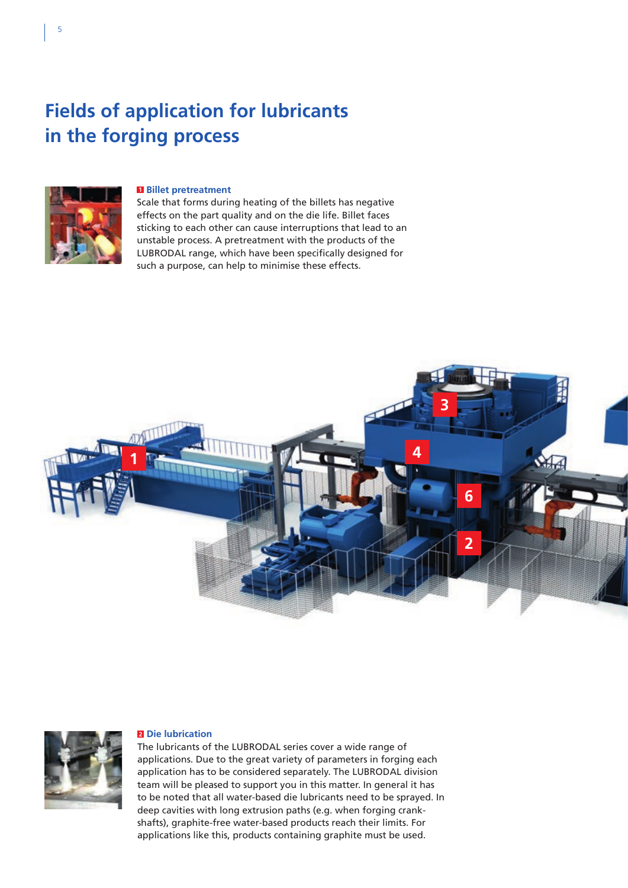## **Fields of application for lubricants in the forging process**



### **1 Billet pretreatment**

Scale that forms during heating of the billets has negative effects on the part quality and on the die life. Billet faces sticking to each other can cause interruptions that lead to an unstable process. A pretreatment with the products of the LUBRODAL range, which have been specifically designed for such a purpose, can help to minimise these effects.





### **2 Die lubrication**

The lubricants of the LUBRODAL series cover a wide range of applications. Due to the great variety of parameters in forging each application has to be considered separately. The LUBRODAL division team will be pleased to support you in this matter. In general it has to be noted that all water-based die lubricants need to be sprayed. In deep cavities with long extrusion paths (e.g. when forging crankshafts), graphite-free water-based products reach their limits. For applications like this, products containing graphite must be used.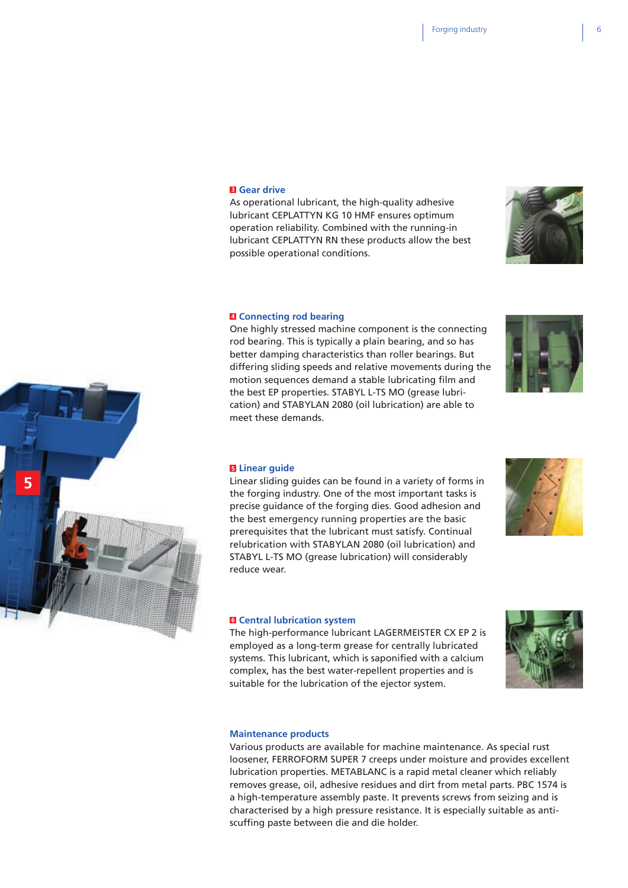### **3 Gear drive**

As operational lubricant, the high-quality adhesive lubricant CEPLATTYN KG 10 HMF ensures optimum operation reliability. Combined with the running-in lubricant CEPLATTYN RN these products allow the best possible operational conditions.

#### **4 Connecting rod bearing**

One highly stressed machine component is the connecting rod bearing. This is typically a plain bearing, and so has better damping characteristics than roller bearings. But differing sliding speeds and relative movements during the motion sequences demand a stable lubricating film and the best EP properties. STABYL L-TS MO (grease lubrication) and STABYLAN 2080 (oil lubrication) are able to meet these demands.

### **5 Linear guide**

Linear sliding guides can be found in a variety of forms in the forging industry. One of the most important tasks is precise guidance of the forging dies. Good adhesion and the best emergency running properties are the basic prerequisites that the lubricant must satisfy. Continual relubrication with STABYLAN 2080 (oil lubrication) and STABYL L-TS MO (grease lubrication) will considerably reduce wear.

#### **6 Central lubrication system**

The high-performance lubricant LAGERMEISTER CX EP 2 is employed as a long-term grease for centrally lubricated systems. This lubricant, which is saponified with a calcium complex, has the best water-repellent properties and is suitable for the lubrication of the ejector system.

#### **Maintenance products**

Various products are available for machine maintenance. As special rust loosener, FERROFORM SUPER 7 creeps under moisture and provides excellent lubrication properties. METABLANC is a rapid metal cleaner which reliably removes grease, oil, adhesive residues and dirt from metal parts. PBC 1574 is a high-temperature assembly paste. It prevents screws from seizing and is characterised by a high pressure resistance. It is especially suitable as antiscuffing paste between die and die holder.







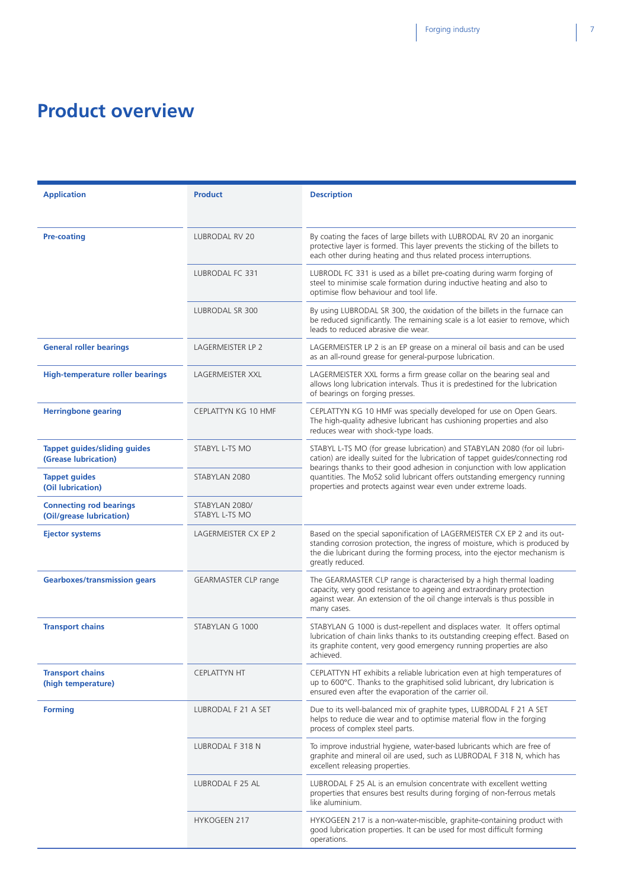## **Product overview**

| <b>Application</b>                                          | <b>Product</b>                   | <b>Description</b>                                                                                                                                                                                                                                                                                                                                                                       |
|-------------------------------------------------------------|----------------------------------|------------------------------------------------------------------------------------------------------------------------------------------------------------------------------------------------------------------------------------------------------------------------------------------------------------------------------------------------------------------------------------------|
|                                                             |                                  |                                                                                                                                                                                                                                                                                                                                                                                          |
| <b>Pre-coating</b>                                          | <b>LUBRODAL RV 20</b>            | By coating the faces of large billets with LUBRODAL RV 20 an inorganic<br>protective layer is formed. This layer prevents the sticking of the billets to<br>each other during heating and thus related process interruptions.                                                                                                                                                            |
|                                                             | LUBRODAL FC 331                  | LUBRODL FC 331 is used as a billet pre-coating during warm forging of<br>steel to minimise scale formation during inductive heating and also to<br>optimise flow behaviour and tool life.                                                                                                                                                                                                |
|                                                             | LUBRODAL SR 300                  | By using LUBRODAL SR 300, the oxidation of the billets in the furnace can<br>be reduced significantly. The remaining scale is a lot easier to remove, which<br>leads to reduced abrasive die wear.                                                                                                                                                                                       |
| <b>General roller bearings</b>                              | <b>LAGERMEISTER LP 2</b>         | LAGERMEISTER LP 2 is an EP grease on a mineral oil basis and can be used<br>as an all-round grease for general-purpose lubrication.                                                                                                                                                                                                                                                      |
| <b>High-temperature roller bearings</b>                     | LAGERMEISTER XXL                 | LAGERMEISTER XXL forms a firm grease collar on the bearing seal and<br>allows long lubrication intervals. Thus it is predestined for the lubrication<br>of bearings on forging presses.                                                                                                                                                                                                  |
| <b>Herringbone gearing</b>                                  | CEPLATTYN KG 10 HMF              | CEPLATTYN KG 10 HMF was specially developed for use on Open Gears.<br>The high-quality adhesive lubricant has cushioning properties and also<br>reduces wear with shock-type loads.                                                                                                                                                                                                      |
| <b>Tappet guides/sliding guides</b><br>(Grease lubrication) | STABYL L-TS MO                   | STABYL L-TS MO (for grease lubrication) and STABYLAN 2080 (for oil lubri-<br>cation) are ideally suited for the lubrication of tappet guides/connecting rod<br>bearings thanks to their good adhesion in conjunction with low application<br>quantities. The MoS2 solid lubricant offers outstanding emergency running<br>properties and protects against wear even under extreme loads. |
| <b>Tappet guides</b><br>(Oil lubrication)                   | STABYLAN 2080                    |                                                                                                                                                                                                                                                                                                                                                                                          |
| <b>Connecting rod bearings</b><br>(Oil/grease lubrication)  | STABYLAN 2080/<br>STABYL L-TS MO |                                                                                                                                                                                                                                                                                                                                                                                          |
| <b>Ejector systems</b>                                      | LAGERMEISTER CX EP 2             | Based on the special saponification of LAGERMEISTER CX EP 2 and its out-<br>standing corrosion protection, the ingress of moisture, which is produced by<br>the die lubricant during the forming process, into the ejector mechanism is<br>greatly reduced.                                                                                                                              |
| <b>Gearboxes/transmission gears</b>                         | <b>GEARMASTER CLP range</b>      | The GEARMASTER CLP range is characterised by a high thermal loading<br>capacity, very good resistance to ageing and extraordinary protection<br>against wear. An extension of the oil change intervals is thus possible in<br>many cases.                                                                                                                                                |
| <b>Transport chains</b>                                     | STABYLAN G 1000                  | STABYLAN G 1000 is dust-repellent and displaces water. It offers optimal<br>lubrication of chain links thanks to its outstanding creeping effect. Based on<br>its graphite content, very good emergency running properties are also<br>achieved.                                                                                                                                         |
| <b>Transport chains</b><br>(high temperature)               | <b>CEPLATTYN HT</b>              | CEPLATTYN HT exhibits a reliable lubrication even at high temperatures of<br>up to 600°C. Thanks to the graphitised solid lubricant, dry lubrication is<br>ensured even after the evaporation of the carrier oil.                                                                                                                                                                        |
| <b>Forming</b>                                              | LUBRODAL F 21 A SET              | Due to its well-balanced mix of graphite types, LUBRODAL F 21 A SET<br>helps to reduce die wear and to optimise material flow in the forging<br>process of complex steel parts.                                                                                                                                                                                                          |
|                                                             | LUBRODAL F 318 N                 | To improve industrial hygiene, water-based lubricants which are free of<br>graphite and mineral oil are used, such as LUBRODAL F 318 N, which has<br>excellent releasing properties.                                                                                                                                                                                                     |
|                                                             | LUBRODAL F 25 AL                 | LUBRODAL F 25 AL is an emulsion concentrate with excellent wetting<br>properties that ensures best results during forging of non-ferrous metals<br>like aluminium.                                                                                                                                                                                                                       |
|                                                             | HYKOGEEN 217                     | HYKOGEEN 217 is a non-water-miscible, graphite-containing product with<br>good lubrication properties. It can be used for most difficult forming<br>operations.                                                                                                                                                                                                                          |